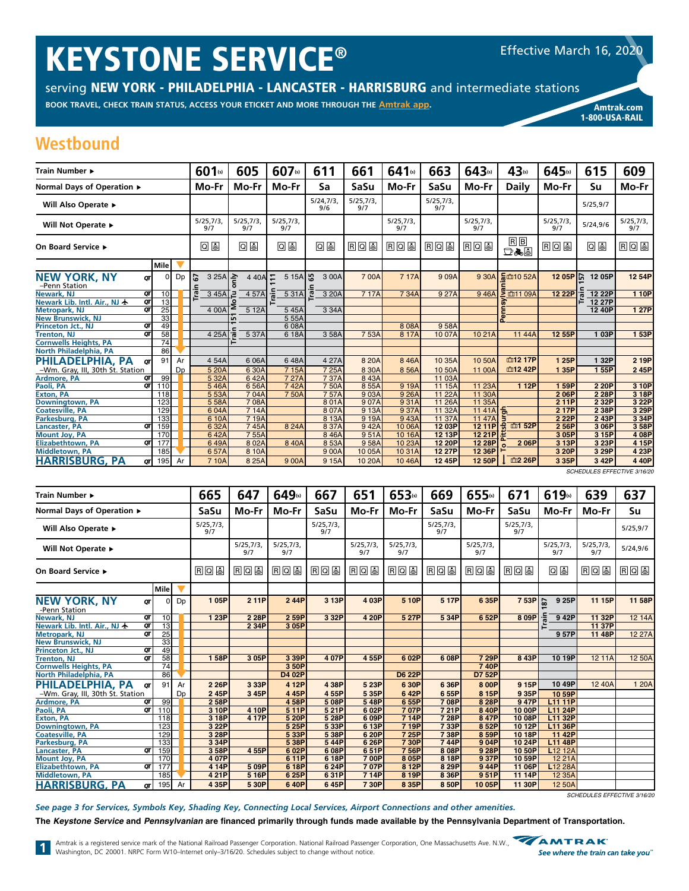# KEYSTONE SERVICE®

serving NEW YORK - PHILADELPHIA - LANCASTER - HARRISBURG and intermediate stations

**BOOK TRAVEL, CHECK TRAIN STATUS, ACCESS YOUR ETICKET AND MORE THROUGH THE [Amtrak app](https://www.amtrak.com/mobile). American amazing amtrak.com** 

1-800-USA-RAIL

## **Westbound**

| Train Number ▶                                                         |                       |    | 601(s)          | 605             |         | 607(s)           |         | 611                 | 661              | $641$ (s)        | 663              | 643(s)           | 43(s)               | 645(s)          | 615              | 609              |
|------------------------------------------------------------------------|-----------------------|----|-----------------|-----------------|---------|------------------|---------|---------------------|------------------|------------------|------------------|------------------|---------------------|-----------------|------------------|------------------|
| Normal Days of Operation ▶                                             |                       |    | Mo-Fr           | Mo-Fr           |         | Mo-Fr            |         | Sa                  | SaSu             | Mo-Fr            | SaSu             | Mo-Fr            | <b>Daily</b>        | Mo-Fr           | Su               | Mo-Fr            |
| Will Also Operate ▶                                                    |                       |    |                 |                 |         |                  |         | 5/24,7/3<br>9/6     | 5/25,7/3,<br>9/7 |                  | 5/25,7/3,<br>9/7 |                  |                     |                 | 5/25,9/7         |                  |
| Will Not Operate ▶                                                     |                       |    | 5/25,7/3<br>9/7 | 5/25,7/3<br>9/7 |         | 5/25,7/3,<br>9/7 |         |                     |                  | 5/25,7/3,<br>9/7 |                  | 5/25,7/3,<br>9/7 |                     | 5/25,7/3<br>9/7 | 5/24,9/6         | 5/25,7/3,<br>9/7 |
| On Board Service ►                                                     |                       | 回国 | 回国              |                 | 回国      |                  | ⊚ ⊚     | <b>RQS</b>          | <b>RQS</b>       | <b>RQS</b>       | 日口目              | RB<br>口无国        | <b>R</b> QU         | 08              | 日回国              |                  |
|                                                                        | Mile                  |    |                 |                 |         |                  |         |                     |                  |                  |                  |                  |                     |                 |                  |                  |
| <b>NEW YORK, NY</b><br>QΤ<br>-Penn Station                             | $\Omega$              | Dp | 3 25A<br>5      | 슬               | 4 40A   |                  | 5 1 5 A | <u>ង្ហ</u><br>3 00A | 700A             | 717A             | 909A             | 9 30A            | <b>&amp;m10 52A</b> | 12 05P 1.       | 12 05P           | 12 54P           |
| <b>Newark, NJ</b><br>OΤ<br>Newark Lib. Intl. Air., NJ $\bigstar$<br>QΤ | 10 <sup>1</sup><br>13 |    | Train<br>3 45A  | ⊇               | 4 57A   |                  | 5 31A   | ra<br>3 20A         | 717A             | 7 34A            | 9 27A            | 946A             | <b>2 血11 09A</b>    | 12 22P          | 12 22P<br>12 27P | 1 1 0 P          |
| <b>Metropark, NJ</b><br>ОТ                                             | $\overline{25}$       |    | 4 00A           |                 | 5 12A   |                  | 545A    | 3 3 4 A             |                  |                  |                  |                  | <b>co</b>           |                 | 12 40P           | 1 27P            |
| <b>New Brunswick, NJ</b>                                               | 33                    |    |                 | Ln              |         |                  | 5 55A   |                     |                  |                  |                  |                  | 룲<br>൨              |                 |                  |                  |
| QΤ<br>Princeton Jct., NJ                                               | 49                    |    |                 |                 |         |                  | 608A    |                     |                  | 8 0 8 A          | 958A             |                  |                     |                 |                  |                  |
| OΤ<br><b>Trenton, NJ</b>                                               | 58                    |    | 4 25A           | ॱᅙ              | 5 37A   |                  | 6 18A   | 3 58A               | 753A             | 8 17A            | 10 07A           | 10 21 A          | 11 44A              | 12 55P          | 1 03P            | 1 53P            |
| <b>Cornwells Heights, PA</b>                                           | 74                    |    |                 |                 |         |                  |         |                     |                  |                  |                  |                  |                     |                 |                  |                  |
| North Philadelphia, PA                                                 | 86                    |    |                 |                 |         |                  |         |                     |                  |                  |                  |                  |                     |                 |                  |                  |
| PHILADELPHIA, PA<br>OΤ                                                 | 91                    | Ar | 454A            |                 | 6 06A   |                  | 648A    | 4 27A               | 8 20 A           | 846A             | 10 35A           | 10 50A           | 血12 17P             | 125P            | 1 32P            | 2 19P            |
| -Wm. Gray, III, 30th St. Station                                       |                       | Dp | 5 20A           |                 | 6 30A   |                  | 7 1 5 A | 7 25A               | 8 30A            | 8 56A            | 10 50A           | 11 00A           | 血12 42P             | 1 35P           | 155P             | 245P             |
| <b>Ardmore, PA</b><br>OΤ                                               | 99                    |    | 5 32A           |                 | 642A    |                  | 727A    | 7 37A               | 843A             |                  | 11 03A           |                  |                     |                 |                  |                  |
| Paoli, PA<br>ОТ                                                        | 110                   |    | 546A            |                 | 656A    |                  | 742A    | 750A                | 855A             | 9 19A            | 11 15A           | 11 23A           | 1 1 2 P             | 159P            | 2 20P            | 3 10P            |
| <b>Exton, PA</b>                                                       | 118                   |    | 553A            |                 | 704A    |                  | 750A    | 757A                | 903A             | 9 26A            | 11 22A           | 11 30A           |                     | 206P            | 2 28P            | 3 18P            |
| Downingtown, PA                                                        | 123                   |    | 558A            |                 | 7 08A   |                  |         | 801A                | 907A             | 931A             | 11 26A           | 11 35A           |                     | 211P            | 2 3 2 P          | 3 22P            |
| <b>Coatesville, PA</b>                                                 | 129                   |    | 604A            |                 | 714A    |                  |         | 807A                | 9 13A            | 937A             | 11 32A           | 11 41A           | 듨                   | 2 17P           | 2 38P            | 3 29P            |
| Parkesburg, PA                                                         | 133                   |    | 6 10A           |                 | 719A    |                  |         | 8 13A               | 919A             | 943A             | 11 37A           | 11 47A           |                     | 2 2 2 P         | 243P             | 3 34P            |
| ОТ<br>Lancaster, PA                                                    | 159                   |    | 6 32A           |                 | 745A    |                  | 8 24A   | 8 37A               | 942A             | 10 06A           | 12 03P           | 12 11P           | 血152P               | 2 56P           | 3 06P            | 358P             |
| <b>Mount Joy, PA</b>                                                   | 170                   |    | 642A            |                 | 7 55A   |                  |         | 846A                | 951A             | 10 16A           | 12 13P           | 12 21 P          |                     | 3 05P           | 3 15P            | 4 08P            |
| QΤ<br><b>Elizabethtown, PA</b>                                         | 177                   |    | 649A            |                 | 8 0 2 A |                  | 840A    | 8 53A               | 958A             | 10 23A           | <b>12 20P</b>    | 12 28P           | 206P                | 3 13P           | 3 23P            | 4 15P            |
| <b>Middletown, PA</b>                                                  | 185                   |    | 657A            |                 | 8 10A   |                  |         | 9 0 0 A             | 10 05A           | 10 31A           | 12 27P           | 12 36P           |                     | 3 20P           | 3 29P            | 4 23P            |
| <b>HARRISBURG, PA</b><br>or                                            | 195 <b>I</b>          | Ar | 710A            |                 | 8 25A   |                  | 900A    | 9 1 5 A             | 10 20A           | 1046A            | 12 45P           | 12 50P           | m <sub>2</sub> 26P  | 3 35P           | 3 42P            | 4 40P            |

| <b>NEW YORK, NY</b>                                                                                                                                                                                                                                                    | QΤ              | $\mathbf{0}$    | Dp | 3 25A - 2<br>5        | 4 40A 드          | 5 15A   19                       | 3 00A            | 7 00A            | 717A             | 909A             | 9 30A            | <b>高</b> 血10 52A     | 12 05P $\mathcal{L}$    | 12 05P          | 12 54P                      |
|------------------------------------------------------------------------------------------------------------------------------------------------------------------------------------------------------------------------------------------------------------------------|-----------------|-----------------|----|-----------------------|------------------|----------------------------------|------------------|------------------|------------------|------------------|------------------|----------------------|-------------------------|-----------------|-----------------------------|
| -Penn Station<br><b>Newark, NJ</b>                                                                                                                                                                                                                                     | σr              | 10              |    | <b>Train</b><br>3 45A | 콛<br>4 57A       | $\overline{531A}$ $\overline{2}$ | 3 20A            | 717A             | 7 34A            | 9 27A            | 946A             | <u>sa</u><br>血11 09A | 12 22P                  | ain<br>12 22P   | 1 10P                       |
| Newark Lib. Intl. Air., NJ 卡                                                                                                                                                                                                                                           | QT              | 13              |    |                       |                  | ā                                |                  |                  |                  |                  |                  |                      |                         | 12 27P          |                             |
| Metropark, NJ                                                                                                                                                                                                                                                          | QT              | $\overline{25}$ |    | 4 00A                 | 512A             | 5 45A                            | 3 34A            |                  |                  |                  |                  |                      |                         | 12 40P          | 1 27P                       |
| <b>New Brunswick, NJ</b>                                                                                                                                                                                                                                               |                 | 33              |    |                       |                  | 5 55A                            |                  |                  |                  |                  |                  |                      |                         |                 |                             |
| Princeton Jct., NJ                                                                                                                                                                                                                                                     | QT              | 49              |    |                       |                  | 608A                             |                  |                  | 8 0 8 A          | 958A             |                  |                      |                         |                 |                             |
| <b>Trenton, NJ</b>                                                                                                                                                                                                                                                     | $\overline{or}$ | 58              |    | 4 25A                 | 5 37A            | 6 18A                            | 358A             | 753A             | 8 17A            | 10 07A           | 1021A            | 11 44A               | 12 55P                  | 1 03P           | 1 53P                       |
| <b>Cornwells Heights, PA</b>                                                                                                                                                                                                                                           |                 | 74              |    |                       |                  |                                  |                  |                  |                  |                  |                  |                      |                         |                 |                             |
| North Philadelphia, PA                                                                                                                                                                                                                                                 |                 | 86              |    |                       |                  |                                  |                  |                  |                  |                  |                  |                      |                         |                 |                             |
| PHILADELPHIA, PA                                                                                                                                                                                                                                                       | QΤ              | 91              | Ar | 4 54A                 | 6 06A            | 648A                             | 4 27A            | 8 20A            | 8 46A            | 10 35A           | 10 50A           | 血12 17P              | 1 25P                   | 1 32P           | 2 19P                       |
| -Wm. Gray, III, 30th St. Station                                                                                                                                                                                                                                       |                 |                 | Dp | 5 20A                 | 6 30A            | 715A                             | 7 25A            | 8 30A            | 8 56A            | 10 50A           | 11 00A           | 血12 42P              | 1 35P                   | 155P            | 245P                        |
| <b>Ardmore, PA</b><br>Paoli, PA                                                                                                                                                                                                                                        | QT<br>oτl       | 99<br>110       |    | 5 32A<br>546A         | 642A<br>656A     | 7 27A<br>742A                    | 7 37A<br>750A    | 843A<br>855A     | 9 19A            | 11 03A<br>11 15A | 11 23A           | 1 12P                | 1 59P                   | 2 20P           | 3 10P                       |
| <b>Exton, PA</b>                                                                                                                                                                                                                                                       |                 | 118             |    | 5 53A                 | 704A             | 7 50A                            | 757A             | 903A             | 9 26A            | 11 22A           | 11 30A           |                      | 206P                    | 2 28P           | 3 18P                       |
| Downingtown, PA                                                                                                                                                                                                                                                        |                 | 123             |    | 558A                  | 708A             |                                  | 801A             | 907A             | 931A             | 11 26A           | 11 35A           |                      | 211P                    | 2 3 2 P         | 3 22P                       |
| Coatesville, PA                                                                                                                                                                                                                                                        |                 | 129             |    | 604A                  | 714A             |                                  | 807A             | 9 13A            | 937A             | 11 32A           | 11 41A           | p,                   | 217P                    | 2 38P           | 3 29P                       |
| Parkesburg, PA                                                                                                                                                                                                                                                         |                 | 133             |    | 6 10A                 | 7 19A            |                                  | 8 13A            | 919A             | 943A             | 11 37A           | 11 47A           |                      | 2 2 2 P                 | 243P            | 3 34P                       |
| Lancaster, PA                                                                                                                                                                                                                                                          | QΓ              | 159             |    | 6 32A                 | 745A             | 8 24A                            | 8 37A            | 942A             | 10 06A           | 12 03P           | 12 11P           | 윾<br><b>血152P</b>    | 2 56P                   | 3 06P           | 358P                        |
| <b>Mount Joy, PA</b>                                                                                                                                                                                                                                                   |                 | 170             |    | 642A                  | 7 55A            |                                  | 8 4 6 A          | 951A             | 10 16A           | 12 13P           | 12 21 P          |                      | 3 05P                   | 3 15P           | 4 08P                       |
| <b>Elizabethtown, PA</b>                                                                                                                                                                                                                                               | QT              | 177             |    | 649A                  | 8 0 2 A          | 8 40A                            | 8 53A            | 958A             | 10 23A           | <b>12 20P</b>    | 12 28P           | 206P                 | 3 13P                   | 3 23P           | 4 15P                       |
| <b>Middletown, PA</b>                                                                                                                                                                                                                                                  |                 | 185             |    | 657A                  | 8 10A            |                                  | 9 00A            | 10 05A           | 1031A            | 12 27P           | 12 36P           |                      | 3 20P                   | 3 29P           | 4 23P                       |
| <b>HARRISBURG, PA</b>                                                                                                                                                                                                                                                  | QT              | 195             | Ar | 710A                  | 8 25A            | 9 00A                            | 9 15A            | 10 20A           | 10 46A           | 12 45P           | 12 50P           | 血2 26P               | 3 35P                   | 3 42P           | 4 40P                       |
|                                                                                                                                                                                                                                                                        |                 |                 |    |                       |                  |                                  |                  |                  |                  |                  |                  |                      |                         |                 | SCHEDULES EFFECTIVE 3/16/20 |
| Train Number ▶                                                                                                                                                                                                                                                         |                 |                 |    | 665                   | 647              | 649(s)                           | 667              | 651              | 653(s)           | 669              | 655(s)           | 671                  | 619(s)                  | 639             | 637                         |
| Normal Days of Operation ▶                                                                                                                                                                                                                                             |                 |                 |    | SaSu                  | Mo-Fr            | Mo-Fr                            | SaSu             | Mo-Fr            | Mo-Fr            | SaSu             | Mo-Fr            | SaSu                 | Mo-Fr                   | Mo-Fr           | Su                          |
| Will Also Operate ▶                                                                                                                                                                                                                                                    |                 |                 |    | 5/25,7/3,<br>9/7      |                  |                                  | 5/25,7/3,<br>9/7 |                  |                  | 5/25,7/3,<br>9/7 |                  | 5/25,7/3,<br>9/7     |                         |                 | 5/25,9/7                    |
| Will Not Operate ▶                                                                                                                                                                                                                                                     |                 |                 |    |                       | 5/25,7/3,<br>9/7 | 5/25,7/3,<br>9/7                 |                  | 5/25,7/3,<br>9/7 | 5/25,7/3,<br>9/7 |                  | 5/25,7/3,<br>9/7 |                      | 5/25,7/3<br>9/7         | 5/25,7/3<br>9/7 | 5/24,9/6                    |
| On Board Service ▶                                                                                                                                                                                                                                                     |                 |                 |    | 国回国                   | 国回国              | 旧回国                              | 国回国              | 田口园              | 国回国              | 国回国              | <b>RQS</b>       | 国回国                  | 0 g                     | 国回国             | 国回国                         |
|                                                                                                                                                                                                                                                                        |                 | <b>Mile</b>     |    |                       |                  |                                  |                  |                  |                  |                  |                  |                      |                         |                 |                             |
| <b>NEW YORK, NY</b>                                                                                                                                                                                                                                                    | OΤ              | 0               | Dp | 105P                  | 211P             | 244P                             | 3 13P            | 403P             | 5 10P            | 5 17P            | 6 35P            | 753P                 | 9 25P<br>$\overline{8}$ | 11 15P          | 11 58P                      |
| -Penn Station                                                                                                                                                                                                                                                          |                 |                 |    |                       |                  |                                  |                  |                  |                  |                  |                  |                      |                         |                 |                             |
| Newark, NJ                                                                                                                                                                                                                                                             | $\overline{q}$  | 10              |    | 1 23P                 | 2 28P            | 2 59P                            | 3 32P            | 4 20P            | 5 27P            | 5 34P            | 6 52P            | 8 09P                | 942P                    | 11 32P          | 12 14A                      |
| Newark Lib. Intl. Air., NJ $\bigstar$                                                                                                                                                                                                                                  | $\overline{q}$  | 13              |    |                       | 2 34P            | 3 05P                            |                  |                  |                  |                  |                  |                      |                         | 11 37P          |                             |
| <b>Metropark, NJ</b>                                                                                                                                                                                                                                                   | QT              | 25              |    |                       |                  |                                  |                  |                  |                  |                  |                  |                      | 957P                    | 11 48P          | 12 27A                      |
| <b>New Brunswick, NJ</b>                                                                                                                                                                                                                                               | QΤ              | 33              |    |                       |                  |                                  |                  |                  |                  |                  |                  |                      |                         |                 |                             |
| Princeton Jct., NJ<br><b>Trenton, NJ</b>                                                                                                                                                                                                                               | $\overline{q}$  | 49<br>58        |    | 158P                  | 3 05P            | 3 39P                            | 4 07P            | 455P             | 602P             | 608P             | 7 29P            | 8 43P                | 10 19P                  | 12 11A          | 12 50A                      |
| <b>Cornwells Heights, PA</b>                                                                                                                                                                                                                                           |                 | $\overline{74}$ |    |                       |                  | 350P                             |                  |                  |                  |                  | 740P             |                      |                         |                 |                             |
| North Philadelphia, PA                                                                                                                                                                                                                                                 |                 | 86              |    |                       |                  | D4 02P                           |                  |                  | <b>D6 22P</b>    |                  | D7 52P           |                      |                         |                 |                             |
| PHILADELPHIA, PA                                                                                                                                                                                                                                                       | QΤ              | 91              | Ar | 2 26P                 | 3 33P            | 4 12P                            | 4 38P            | 5 23P            | 6 30P            | 636P             | 8 00P            | 9 15P                | 10 49P                  | 12 40A          | 1 20A                       |
| -Wm. Gray, III, 30th St. Station                                                                                                                                                                                                                                       |                 |                 | Dp | 2 45P                 | 3 45P            | 445P                             | 455P             | 5 35P            | 642P             | 655P             | 8 15P            | 9 35P                | 10 59P                  |                 |                             |
| <b>Ardmore, PA</b>                                                                                                                                                                                                                                                     | QT              | 99              |    | 2 58P                 |                  | 458P                             | 508P             | 548P             | 655P             | 708P             | 8 28P            | 947P                 | L11 11P                 |                 |                             |
| Paoli, PA                                                                                                                                                                                                                                                              | $\sigma$        | 110             |    | 3 10P                 | 4 10P            | 511P                             | 521P             | 6 02P            | 707P             | 721P             | 8 40P            | 10 00P               | L11 24P                 |                 |                             |
| <b>Exton, PA</b>                                                                                                                                                                                                                                                       |                 | 118             |    | 3 18P                 | 4 17P            | 5 20P                            | 5 28P            | 6 09P            | 7 14P            | 7 28P            | 8 47P            | 10 08P               | L11 32P                 |                 |                             |
| Downingtown, PA                                                                                                                                                                                                                                                        |                 | 123             |    | 3 22P                 |                  | 5 25P                            | 5 33P            | 6 13P            | 719P             | 7 33P            | 8 52P            | 1012P                | L11 36P                 |                 |                             |
| <b>Coatesville, PA</b><br>Parkesburg, PA                                                                                                                                                                                                                               |                 | 129<br>133      |    | 3 28P<br>3 34P        |                  | 5 33P<br>5 38P                   | 538P<br>544P     | 620P<br>626P     | 7 25P<br>730P    | 738P<br>744P     | 8 59P<br>9 04P   | 1018P<br>10 24P      | 11 42P<br>L11 48P       |                 |                             |
| Lancaster, PA                                                                                                                                                                                                                                                          | QΤ              | 159             |    | 358P                  | 455P             | 602P                             | 608P             | 651P             | 756P             | 808P             | 9 28P            | 10 50P               | L12 12A                 |                 |                             |
| <b>Mount Joy, PA</b>                                                                                                                                                                                                                                                   |                 | 170             |    | 4 07P                 |                  | 6 11P                            | 6 18P            | 700P             | 8 05P            | 818P             | 937P             | 10 59P               | 12 21 A                 |                 |                             |
| <b>Elizabethtown, PA</b>                                                                                                                                                                                                                                               | $\overline{q}$  | 177             |    | 4 14P                 | 509P             | 6 18P                            | 624P             | 707P             | 8 12P            | 8 29P            | 944P             | 11 06P               | L12 28A                 |                 |                             |
| <b>Middletown, PA</b>                                                                                                                                                                                                                                                  |                 | 185             |    | 421P                  | 5 16P            | 6 25P                            | 631P             | 714P             | 8 19P            | 8 36P            | 951P             | 11 14P               | 12 35A                  |                 |                             |
|                                                                                                                                                                                                                                                                        |                 |                 |    |                       |                  |                                  |                  |                  |                  |                  |                  |                      |                         |                 |                             |
| <b>HARRISBURG, PA</b>                                                                                                                                                                                                                                                  | QT              | 195             | Ar | 4 35P                 | 5 30P            | 640P                             | 645P             | 730P             | 8 35P            | 850P             | 10 05P           | 11 30P               | 12 50A                  |                 |                             |
|                                                                                                                                                                                                                                                                        |                 |                 |    |                       |                  |                                  |                  |                  |                  |                  |                  |                      |                         |                 | SCHEDULES EFFECTIVE 3/16/20 |
|                                                                                                                                                                                                                                                                        |                 |                 |    |                       |                  |                                  |                  |                  |                  |                  |                  |                      |                         |                 |                             |
| See page 3 for Services, Symbols Key, Shading Key, Connecting Local Services, Airport Connections and other amenities.<br>The Keystone Service and Pennsylvanian are financed primarily through funds made available by the Pennsylvania Department of Transportation. |                 |                 |    |                       |                  |                                  |                  |                  |                  |                  |                  |                      |                         |                 |                             |

Amtrak is a registered service mark of the National Railroad Passenger Corporation. National Railroad Passenger Corporation, One Massachusetts Ave. N.W., See where the train of Washington, DC 20001. NRPC Form W10-Internet

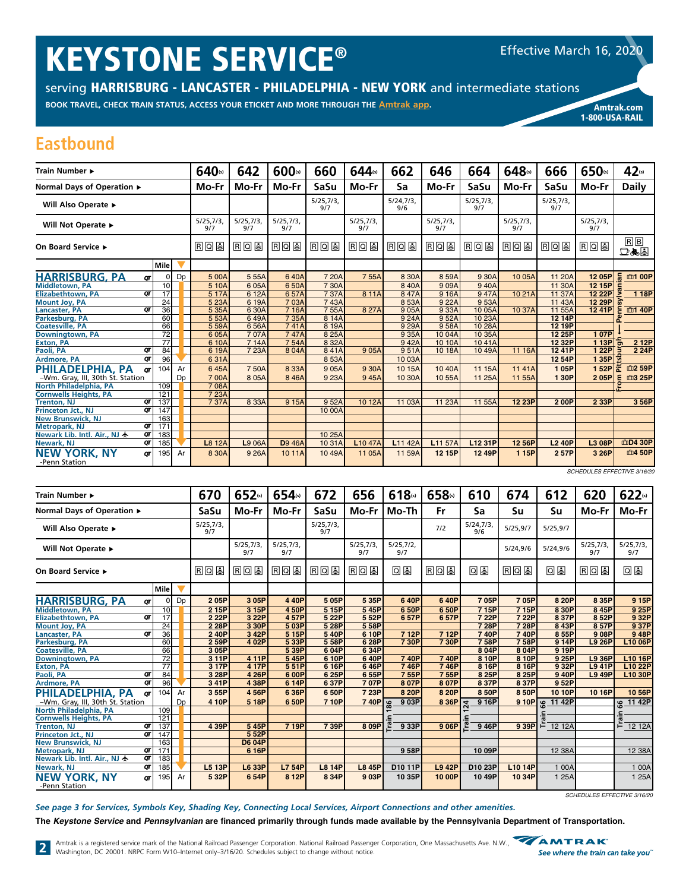# **KEYSTONE SERVICE®**

serving HARRISBURG - LANCASTER - PHILADELPHIA - NEW YORK and intermediate stations

BOOK TRAVEL, CHECK TRAIN STATUS, ACCESS YOUR ETICKET AND MORE THROUGH THE Amtrak app.

**Amtrak.com** 1-800-USA-RAIL

### **Eastbound**

| Train Number ▶                             |                  |    | 640(s)          | 642              | 600(s)           | 660              | 644(s)              | 662              | 646              | 664              | 648(s)           | 666              | 650(s)           | 42(s)          |
|--------------------------------------------|------------------|----|-----------------|------------------|------------------|------------------|---------------------|------------------|------------------|------------------|------------------|------------------|------------------|----------------|
| Normal Days of Operation ▶                 |                  |    | Mo-Fr           | Mo-Fr            | Mo-Fr            | <b>SaSu</b>      | Mo-Fr               | Sa               | Mo-Fr            | SaSu             | Mo-Fr            | SaSu             | Mo-Fr            | <b>Daily</b>   |
| Will Also Operate ▶                        |                  |    |                 |                  |                  | 5/25,7/3,<br>9/7 |                     | 5/24,7/3,<br>9/6 |                  | 5/25,7/3,<br>9/7 |                  | 5/25,7/3,<br>9/7 |                  |                |
| Will Not Operate ▶                         |                  |    | 5/25,7/3<br>9/7 | 5/25,7/3,<br>9/7 | 5/25,7/3,<br>9/7 |                  | 5/25,7/3,<br>9/7    |                  | 5/25,7/3,<br>9/7 |                  | 5/25,7/3,<br>9/7 |                  | 5/25,7/3,<br>9/7 |                |
| On Board Service ▶                         |                  |    | <b>RQU</b>      | RQU              | <b>RQS</b>       | 日回国              | RQU                 | RQU              | <b>RQS</b>       | RQU              | <b>RQS</b>       | <b>RQU</b>       | <b>RQU</b>       | $R$ $B$<br>口ふ目 |
|                                            | l Mile l         |    |                 |                  |                  |                  |                     |                  |                  |                  |                  |                  |                  |                |
| <b>HARRISBURG, PA</b><br>OΓ                | 0                | Dp | 500A            | 5 55A            | 640A             | 7 20A            | 755A                | 8 30A            | 859A             | 9 30A            | 10 05A           | 11 20A           | 12 05P           | 듦<br>血1 00P    |
| <b>Middletown, PA</b>                      | 10               |    | 5 10A           | 605A             | 650A             | 7 30A            |                     | 840A             | 909A             | 940A             |                  | 11 30A           | 12 15P           |                |
| QΤ<br><b>Elizabethtown, PA</b>             | $\overline{17}$  |    | 5 17A           | 6 12A            | 657A             | 737A             | 8 11A               | 847A             | 916A             | 947A             | 1021A            | 11 37A           | 12 22P           | 1 18P          |
| <b>Mount Joy, PA</b>                       | 24               |    | 5 23A           | 6 19A            | 7 03A            | 743A             |                     | 8 5 3 A          | 9 22A            | 953A             |                  | 11 43A           | 12 29P           |                |
| QΤ<br>Lancaster, PA                        | 36               |    | 5 35A           | 630A             | 7 16A            | 755A             | 827A                | 9 05A            | 933A             | 10 05A           | 10 37A           | 11 55A           | 12 41P           | 血1 40P         |
| Parkesburg, PA                             | 60               |    | 5 53A           | 649A             | 735A             | 8 14A            |                     | 9 24A            | 952A             | 10 23A           |                  | 12 14P           |                  |                |
| <b>Coatesville, PA</b>                     | 66               |    | 5 59A           | 656A             | 741A             | 8 19A            |                     | 9 29A            | 958A             | 10 28A           |                  | 12 19P           |                  |                |
| Downingtown, PA                            | $\overline{72}$  |    | 605A            | 707A             | 747A             | 8 25A            |                     | 9 35A            | 10 04A           | 10 35A           |                  | 12 25P           | 107P             |                |
| <b>Exton, PA</b>                           | $\overline{77}$  |    | 6 10A           | 714A             | 754A             | 8 32A            |                     | 942A             | 10 10A           | 1041A            |                  | 12 32P           | 113P             | 2 12P<br>ট     |
| Paoli, PA<br>QT                            | 84               |    | 619A            | 7 23A            | 804A             | 841A             | 905A                | 951A             | 10 18A           | 10 49A           | 11 16A           | 1241P            | 122P             | 2 24P          |
| QT<br>Ardmore, PA                          | 96               |    | 631A            |                  |                  | 853A             |                     | 10 03A           |                  |                  |                  | 12 54P           | 1 35PI 현         |                |
| PHILADELPHIA, PA<br>OΤ                     | 104              | Ar | 645A            | 750A             | 8 3 3 A          | 905A             | 9 30A               | 10 15A           | 10 40A           | 11 15A           | 1141A            | 105P             | 152P             | 血2 59P<br>준    |
| -Wm. Gray, III, 30th St. Station           |                  | Dp | 700A            | 805A             | 846A             | 9 23A            | 945A                | 10 30A           | 10 55A           | 11 25A           | 11 55A           | 130P             | 205P             | 血3 25P<br>Ε    |
| North Philadelphia, PA                     | 109              |    | 708A            |                  |                  |                  |                     |                  |                  |                  |                  |                  |                  |                |
| <b>Cornwells Heights, PA</b>               | $\overline{121}$ |    | 7 23A           |                  |                  |                  |                     |                  |                  |                  |                  |                  |                  |                |
| QΤ<br><b>Trenton, NJ</b>                   | 137              |    | 737A            | 8 3 3 A          | 9 15A            | 952A             | 10 12A              | 11 03A           | 11 23A           | 11 55A           | 12 23P           | 200P             | 2 3 3 P          | 3 56P          |
| ОТ<br>Princeton Jct., NJ                   | 147              |    |                 |                  |                  | 10 00A           |                     |                  |                  |                  |                  |                  |                  |                |
| <b>New Brunswick, NJ</b>                   | 163              |    |                 |                  |                  |                  |                     |                  |                  |                  |                  |                  |                  |                |
| QT<br><b>Metropark, NJ</b>                 | 171              |    |                 |                  |                  |                  |                     |                  |                  |                  |                  |                  |                  |                |
| QT<br>Newark Lib. Intl. Air., NJ ★         | 183              |    |                 |                  |                  | 10 25A           |                     |                  |                  |                  |                  |                  |                  |                |
| QT<br>Newark, NJ                           | 185              |    | L8 12A          | L9 06A           | <b>D</b> 9 46A   | 10 31A           | L <sub>10</sub> 47A | L11 42A          | L11 57A          | L12 31P          | 12 56P           | <b>L2 40P</b>    | L3 08P           | 血D4 30P        |
| <b>NEW YORK, NY</b><br>σт<br>-Penn Station | 195              | Ar | 8 30A           | 9 26A            | 1011A            | 1049A            | 11 05A              | 11 59A           | 12 15P           | 12 49P           | 115P             | 257P             | 3 26P            | 血4 50P         |

SCHEDULES EFFECTIVE 3/16/20

| Train Number ►                                                 | 670              | 652(s)           | 654(s)           | 672              | 656              | 618(s)           | 658(s)        | 610                      | 674        | 612      | 620             | 622(s)           |
|----------------------------------------------------------------|------------------|------------------|------------------|------------------|------------------|------------------|---------------|--------------------------|------------|----------|-----------------|------------------|
| Normal Days of Operation ▶                                     | SaSu             | Mo-Fr            | Mo-Fr            | SaSu             | Mo-Fr            | Mo-Th            | Fr            | Sa                       | Su         | Su       | Mo-Fr           | Mo-Fr            |
| Will Also Operate ▶                                            | 5/25,7/3,<br>9/7 |                  |                  | 5/25,7/3,<br>9/7 |                  |                  | 7/2           | 5/24,7/3<br>9/6          | 5/25.9/7   | 5/25.9/7 |                 |                  |
| Will Not Operate ▶                                             |                  | 5/25,7/3,<br>9/7 | 5/25,7/3,<br>9/7 |                  | 5/25,7/3,<br>9/7 | 5/25,7/2,<br>9/7 |               |                          | 5/24,9/6   | 5/24.9/6 | 5/25,7/3<br>9/7 | 5/25,7/3,<br>9/7 |
| On Board Service ▶                                             | <b>RQS</b>       | <b>RQS</b>       | RQ               | <b>RQS</b>       | <b>RQS</b>       | 09               | RQ            | 08                       | <u>rou</u> | 09       | RQU             | Q La             |
| <b>Mile</b>                                                    |                  |                  |                  |                  |                  |                  |               |                          |            |          |                 |                  |
| <b>HARRISBURG, PA</b><br>Dp<br>οI<br>QΤ                        | 205P             | 3 05P            | 4 4 0 P          | 505P             | 535P             | 640P             | 640P          | 705P                     | 705P       | 8 20P    | 8 35P           | 9 15P            |
| 10<br><b>Middletown, PA</b>                                    | 2 15P            | 3 15P            | 4 50P            | 5 15P            | 545P             | 650P             | 6 50P         | 715P                     | 7 15P      | 8 30P    | 845P            | 9 25P            |
| $\overline{17}$<br>$\overline{or}$<br><b>Elizabethtown, PA</b> | 2 22P            | 3 22P            | 457P             | 5 22P            | 552P             | 657P             | 657P          | 7 22P                    | 7 22P      | 837P     | 852P            | 9 32P            |
| 24<br><b>Mount Joy, PA</b>                                     | 2 28P            | 3 30P            | 503P             | 5 28P            | 558P             |                  |               | 7 28P                    | 7 28P      | 843P     | 857P            | 9 37P            |
| 36<br>OΤ<br>Lancaster, PA                                      | 240P             | 3 42P            | 5 15P            | 540P             | 6 10P            | 7 12P            | 712P          | 740P                     | 740P       | 855P     | 908P            | 948P             |
| 60<br>Parkesburg, PA                                           | 2 59P            | 4 02P            | 533P             | 558P             | 6 28P            | 730P             | 730P          | 758P                     | 758P       | 9 14P    | <b>L9 26P</b>   | L10 06P          |
| 66<br><b>Coatesville, PA</b>                                   | 3 05P            |                  | 5 39P            | 604P             | 634P             |                  |               | 8 04P                    | 8 04P      | 9 19P    |                 |                  |
| $\overline{72}$<br>Downingtown, PA                             | 311P             | 4 11P            | 545P             | 6 10P            | 640P             | <b>740P</b>      | 740P          | 8 10P                    | 8 10P      | 9 25P    | L9 36P          | L10 16P          |
| $\overline{77}$<br><b>Exton, PA</b>                            | 3 17P            | 4 17P            | 551P             | 6 16P            | 646P             | 746P             | 746P          | 8 16P                    | 8 16P      | 9 32P    | <b>L941P</b>    | L10 22P          |
| 84<br>Paoli, PA<br>OΤ                                          | 3 28P            | 4 26P            | 6 00P            | 625P             | 655P             | 755P             | 755P          | 8 25P                    | 8 25P      | 940P     | <b>L9 49P</b>   | L10 30P          |
| 96<br>QΤ<br><b>Ardmore, PA</b>                                 | 341P             | 4 38P            | 6 14P            | 637P             | 707P             | 8 07P            | 8 07P         | 837P                     | 837P       | 952P     |                 |                  |
| PHILADELPHIA, PA<br>104<br>Ar<br>QΤ                            | 355P             | 456P             | 636P             | 650P             | 7 23P            | 8 20P            | 8 20P         | 8 50P                    | 8 50P      | 10 10P   | 10 16P          | 10 56P           |
| -Wm. Gray, III, 30th St. Station<br>Dp                         | 4 10P            | 5 18P            | 6 50P            | 710P             | $740P$ $\approx$ | 9 03P            | 8 36P         | 9 16P<br>$\overline{24}$ | 910P       | 11 42P   |                 | 11 42P<br>99     |
| North Philadelphia, PA<br>109                                  |                  |                  |                  |                  |                  |                  |               |                          |            |          |                 |                  |
| 121<br><b>Cornwells Heights, PA</b>                            |                  |                  |                  |                  |                  |                  |               |                          |            |          |                 | Train            |
| 137<br>στ<br><b>Trenton, NJ</b>                                | 4 39P            | 545P             | 7 19P            | 739P             | 8 09P            | 9 33P            | 906P          | 9 46P                    | 9 39P      | F 12 12A |                 | 12 12A           |
| QΤ<br>147<br>Princeton Jct., NJ                                |                  | 552P             |                  |                  |                  |                  |               |                          |            |          |                 |                  |
| 163<br><b>New Brunswick, NJ</b>                                |                  | <b>D6 04P</b>    |                  |                  |                  |                  |               |                          |            |          |                 |                  |
| QT<br>171<br><b>Metropark, NJ</b>                              |                  | 6 16P            |                  |                  |                  | 958P             |               | 10 09P                   |            | 12 38A   |                 | 12 38A           |
| Newark Lib. Intl. Air., NJ $\bigstar$<br>QT<br>183             |                  |                  |                  |                  |                  |                  |               |                          |            |          |                 |                  |
| QΤ<br>Newark, NJ<br>185                                        | <b>L5 13P</b>    | L6 33P           | <b>L7 54P</b>    | <b>L8 14P</b>    | <b>L8 45P</b>    | D10 11P          | <b>L9 42P</b> | D10 23P                  | L10 14P    | 1 00A    |                 | 1 00A            |
| <b>NEW YORK, NY</b><br>195<br>Ar<br>σт<br>-Penn Station        | 532P             | 654P             | 8 12P            | 8 3 4 P          | 9 03P            | 10 35P           | 10 00P        | 10 49P                   | 10 34P     | 1 25A    |                 | 1 25A            |

SCHEDULES EFFECTIVE 3/16/20

See page 3 for Services, Symbols Key, Shading Key, Connecting Local Services, Airport Connections and other amenities.

The Keystone Service and Pennsylvanian are financed primarily through funds made available by the Pennsylvania Department of Transportation.

Amtrak is a registered service mark of the National Railroad Passenger Corporation. National Railroad Passenger Corporation, One Massachusetts Ave. N.W., **WANTRAK** 2 Amtrak is a registered service mark of the inditional nambal rapidal conservation individual manufacture of the Mashington, DC 20001. NRPC Form W10-Internet only-3/16/20. Schedules subject to change without notice.